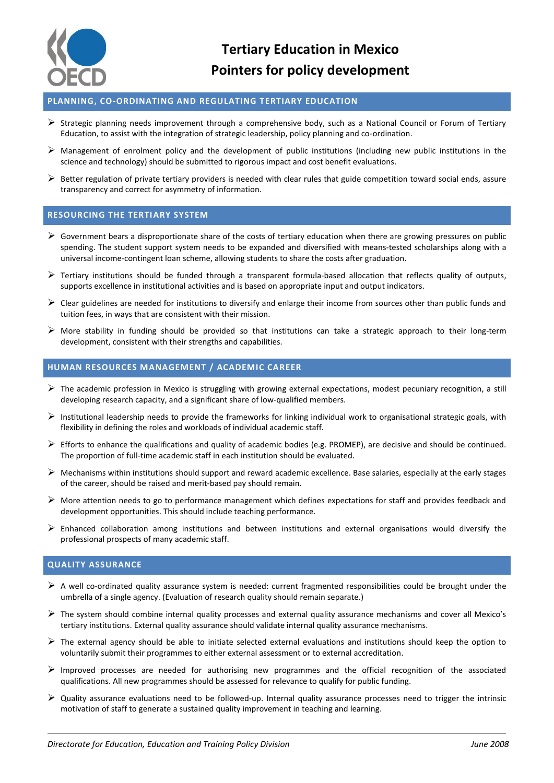

**Tertiary Education in Mexico Pointers for policy development**

## **PLANNING, CO-ORDINATING AND REGULATING TERTIARY EDUCATION**

- $\triangleright$  Strategic planning needs improvement through a comprehensive body, such as a National Council or Forum of Tertiary Education, to assist with the integration of strategic leadership, policy planning and co-ordination.
- $\triangleright$  Management of enrolment policy and the development of public institutions (including new public institutions in the science and technology) should be submitted to rigorous impact and cost benefit evaluations.
- $\triangleright$  Better regulation of private tertiary providers is needed with clear rules that guide competition toward social ends, assure transparency and correct for asymmetry of information.

#### **RESOURCING THE TERTIARY SYSTEM**

- $\triangleright$  Government bears a disproportionate share of the costs of tertiary education when there are growing pressures on public spending. The student support system needs to be expanded and diversified with means-tested scholarships along with a universal income-contingent loan scheme, allowing students to share the costs after graduation.
- $\triangleright$  Tertiary institutions should be funded through a transparent formula-based allocation that reflects quality of outputs, supports excellence in institutional activities and is based on appropriate input and output indicators.
- $\triangleright$  Clear guidelines are needed for institutions to diversify and enlarge their income from sources other than public funds and tuition fees, in ways that are consistent with their mission.
- $\triangleright$  More stability in funding should be provided so that institutions can take a strategic approach to their long-term development, consistent with their strengths and capabilities.

## **HUMAN RESOURCES MANAGEMENT / ACADEMIC CAREER**

- $\triangleright$  The academic profession in Mexico is struggling with growing external expectations, modest pecuniary recognition, a still developing research capacity, and a significant share of low-qualified members.
- $\triangleright$  Institutional leadership needs to provide the frameworks for linking individual work to organisational strategic goals, with flexibility in defining the roles and workloads of individual academic staff.
- $\triangleright$  Efforts to enhance the qualifications and quality of academic bodies (e.g. PROMEP), are decisive and should be continued. The proportion of full-time academic staff in each institution should be evaluated.
- $\triangleright$  Mechanisms within institutions should support and reward academic excellence. Base salaries, especially at the early stages of the career, should be raised and merit-based pay should remain.
- $\triangleright$  More attention needs to go to performance management which defines expectations for staff and provides feedback and development opportunities. This should include teaching performance.
- $\triangleright$  Enhanced collaboration among institutions and between institutions and external organisations would diversify the professional prospects of many academic staff.

# **QUALITY ASSURANCE**

- $\triangleright$  A well co-ordinated quality assurance system is needed: current fragmented responsibilities could be brought under the umbrella of a single agency. (Evaluation of research quality should remain separate.)
- $\triangleright$  The system should combine internal quality processes and external quality assurance mechanisms and cover all Mexico's tertiary institutions. External quality assurance should validate internal quality assurance mechanisms.
- $\triangleright$  The external agency should be able to initiate selected external evaluations and institutions should keep the option to voluntarily submit their programmes to either external assessment or to external accreditation.
- $\triangleright$  Improved processes are needed for authorising new programmes and the official recognition of the associated qualifications. All new programmes should be assessed for relevance to qualify for public funding.
- $\triangleright$  Quality assurance evaluations need to be followed-up. Internal quality assurance processes need to trigger the intrinsic motivation of staff to generate a sustained quality improvement in teaching and learning.